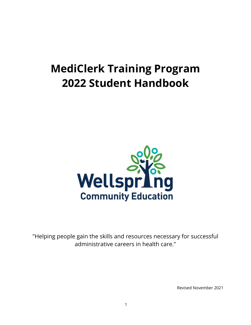# **MediClerk Training Program 2022 Student Handbook**



"Helping people gain the skills and resources necessary for successful administrative careers in health care."

Revised November 2021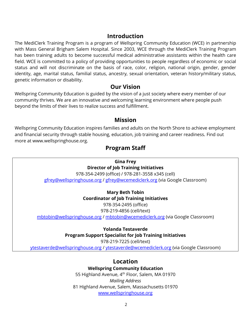## **Introduction**

The MediClerk Training Program is a program of Wellspring Community Education (WCE) in partnership with Mass General Brigham Salem Hospital. Since 2003, WCE through the MediClerk Training Program has been training adults to become successful medical administrative assistants within the health care field. WCE is committed to a policy of providing opportunities to people regardless of economic or social status and will not discriminate on the basis of race, color, religion, national origin, gender, gender identity, age, marital status, familial status, ancestry, sexual orientation, veteran history/military status, genetic information or disability.

## **Our Vision**

Wellspring Community Education is guided by the vision of a just society where every member of our community thrives. We are an innovative and welcoming learning environment where people push beyond the limits of their lives to realize success and fulfillment.

## **Mission**

Wellspring Community Education inspires families and adults on the North Shore to achieve employment and financial security through stable housing, education, job training and career readiness. Find out more at www.wellspringhouse.org.

## **Program Staff**

**Gina Frey Director of Job Training Initiatives** 978-354-2499 (office) / 978-281-3558 x345 (cell) [gfrey@wellspringhouse.org](mailto:gfrey@wellspringhouse.org) / [gfrey@wcemediclerk.org](mailto:gfrey@wcemediclerk.org) (via Google Classroom)

> **Mary Beth Tobin Coordinator of Job Training Initiatives** 978-354-2495 (office) 978-219-4856 (cell/text)

[mbtobin@wellspringhouse.org](mailto:mbtobin@wellspringhouse.org) / [mbtobin@wcemediclerk.org](mailto:mbtobin@wcemediclerk.org) (via Google Classroom)

**Yolanda Testaverde Program Support Specialist for Job Training Initiatives** 978-219-7225 (cell/text)

[ytestaverde@wellspringhouse.org](mailto:ytestaverde@wellspringhouse.org) / [ytestaverde@wcemediclerk.org](mailto:ytestaverde@wcemediclerk.org) (via Google Classroom)

## **Location**

**Wellspring Community Education**

55 Highland Avenue, 4<sup>th</sup> Floor, Salem, MA 01970 *Mailing Address* 81 Highland Avenue, Salem, Massachusetts 01970 [www.wellspringhouse.org](http://www.wellspringhouse.org/)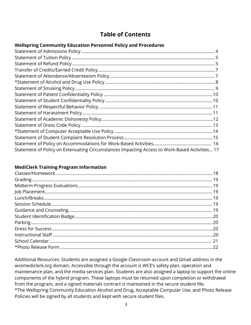# **Table of Contents**

#### **Wellspring Community Education Personnel Policy and Procedures**

| Statement of Policy on Extenuating Circumstances Impacting Access to Work-Based Activities 17 |  |
|-----------------------------------------------------------------------------------------------|--|

#### **MediClerk Training Program Information**

Additional Resources: Students are assigned a Google Classroom account and Gmail address in the wcemediclerk.org domain. Accessible through the account is WCE's safety plan, operation and maintenance plan, and the media services plan. Students are also assigned a laptop to support the online components of the hybrid program. These laptops must be returned upon completion or withdrawal from the program, and a signed materials contract is maintained in the secure student file. \*The Wellspring Community Education Alcohol and Drug, Acceptable Computer Use, and Photo Release Policies will be signed by all students and kept with secure student files.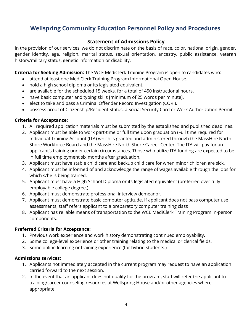# <span id="page-3-0"></span>**Wellspring Community Education Personnel Policy and Procedures**

## **Statement of Admissions Policy**

In the provision of our services, we do not discriminate on the basis of race, color, national origin, gender, gender identity, age, religion, marital status, sexual orientation, ancestry, public assistance, veteran history/military status, genetic information or disability.

**Criteria for Seeking Admission:** The WCE MediClerk Training Program is open to candidates who:

- attend at least one MediClerk Training Program Informational Open House.
- hold a high school diploma or its legislated equivalent.
- are available for the scheduled 15 weeks, for a total of 450 instructional hours.
- have basic computer and typing skills [minimum of 25 words per minute].
- elect to take and pass a Criminal Offender Record Investigation (CORI).
- possess proof of Citizenship/Resident Status, a Social Security Card or Work Authorization Permit.

#### **Criteria for Acceptance:**

- 1. All required application materials must be submitted by the established and published deadlines.
- 2. Applicant must be able to work part-time or full time upon graduation (Full time required for Individual Training Account (ITA) which is granted and administered through the MassHire North Shore Workforce Board and the MassHire North Shore Career Center. The ITA will pay for an applicant's training under certain circumstances. Those who utilize ITA funding are expected to be in full time employment six months after graduation.
- 3. Applicant must have stable child care and backup child care for when minor children are sick.
- 4. Applicant must be informed of and acknowledge the range of wages available through the jobs for which s/he is being trained.
- 5. Applicant must have a High School Diploma or its legislated equivalent (preferred over fully employable college degree.)
- 6. Applicant must demonstrate professional interview demeanor.
- 7. Applicant must demonstrate basic computer aptitude. If applicant does not pass computer use assessments, staff refers applicant to a preparatory computer training class
- 8. Applicant has reliable means of transportation to the WCE MediClerk Training Program in-person components.

#### **Preferred Criteria for Acceptance:**

- 1. Previous work experience and work history demonstrating continued employability.
- 2. Some college-level experience or other training relating to the medical or clerical fields.
- 3. Some online learning or training experience (for hybrid students.)

#### **Admissions services:**

- 1. Applicants not immediately accepted in the current program may request to have an application carried forward to the next session.
- <span id="page-3-1"></span>2. In the event that an applicant does not qualify for the program, staff will refer the applicant to training/career counseling resources at Wellspring House and/or other agencies where appropriate.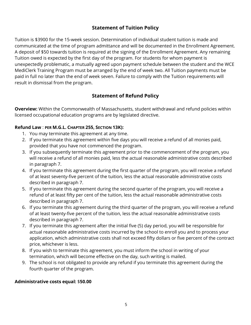## **Statement of Tuition Policy**

Tuition is \$3900 for the 15-week session. Determination of individual student tuition is made and communicated at the time of program admittance and will be documented in the Enrollment Agreement. A deposit of \$50 towards tuition is required at the signing of the Enrollment Agreement. Any remaining Tuition owed is expected by the first day of the program. For students for whom payment is unexpectedly problematic, a mutually agreed upon payment schedule between the student and the WCE MediClerk Training Program must be arranged by the end of week two. All Tuition payments must be paid in full no later than the end of week seven. Failure to comply with the Tuition requirements will result in dismissal from the program.

## **Statement of Refund Policy**

<span id="page-4-0"></span>**Overview:** Within the Commonwealth of Massachusetts, student withdrawal and refund policies within licensed occupational education programs are by legislated directive.

#### **Refund Law** : **PER M.G.L. CHAPTER 255, SECTION 13K):**

- 1. You may terminate this agreement at any time.
- 2. If you terminate this agreement within five days you will receive a refund of all monies paid, provided that you have not commenced the program.
- 3. If you subsequently terminate this agreement prior to the commencement of the program, you will receive a refund of all monies paid, less the actual reasonable administrative costs described in paragraph 7.
- 4. If you terminate this agreement during the first quarter of the program, you will receive a refund of at least seventy-five percent of the tuition, less the actual reasonable administrative costs described in paragraph 7.
- 5. If you terminate this agreement during the second quarter of the program, you will receive a refund of at least fifty per cent of the tuition, less the actual reasonable administrative costs described in paragraph 7.
- 6. If you terminate this agreement during the third quarter of the program, you will receive a refund of at least twenty-five percent of the tuition, less the actual reasonable administrative costs described in paragraph 7.
- 7. If you terminate this agreement after the initial five (5) day period, you will be responsible for actual reasonable administrative costs incurred by the school to enroll you and to process your application, which administrative costs shall not exceed fifty dollars or five percent of the contract price, whichever is less.
- 8. If you wish to terminate this agreement, you must inform the school in writing of your termination, which will become effective on the day, such writing is mailed.
- 9. The school is not obligated to provide any refund if you terminate this agreement during the fourth quarter of the program.

#### **Administrative costs equal:** \$**50.00**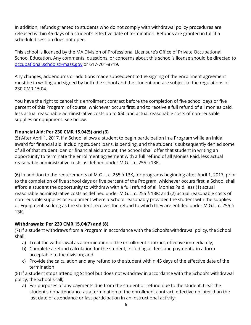In addition, refunds granted to students who do not comply with withdrawal policy procedures are released within 45 days of a student's effective date of termination. Refunds are granted in full if a scheduled session does not open.

This school is licensed by the MA Division of Professional Licensure's Office of Private Occupational School Education. Any comments, questions, or concerns about this school's license should be directed to [occupational.schools@mass.gov](mailto:occupational.schools@mass.gov) or 617-701-8719.

Any changes, addendums or additions made subsequent to the signing of the enrollment agreement must be in writing and signed by both the school and the student and are subject to the regulations of 230 CMR 15.04.

You have the right to cancel this enrollment contract before the completion of five school days or five percent of this Program, of course, whichever occurs first, and to receive a full refund of all monies paid, less actual reasonable administrative costs up to \$50 and actual reasonable costs of non-reusable supplies or equipment. See below.

## **Financial Aid: Per 230 CMR 15.04(5) and (6)**

(5) After April 1, 2017, if a School allows a student to begin participation in a Program while an initial award for financial aid, including student loans, is pending, and the student is subsequently denied some of all of that student loan or financial aid amount, the School shall offer that student in writing an opportunity to terminate the enrollment agreement with a full refund of all Monies Paid, less actual reasonable administrative costs as defined under M.G.L. c. 255 § 13K.

(6) In addition to the requirements of M.G.L. c. 255 § 13K, for programs beginning after April 1, 2017, prior to the completion of five school days or five percent of the Program, whichever occurs first, a School shall afford a student the opportunity to withdraw with a full refund of all Monies Paid, less (1) actual reasonable administrative costs as defined under M.G.L. c. 255 § 13K; and (2) actual reasonable costs of non-reusable supplies or Equipment where a School reasonably provided the student with the supplies or Equipment, so long as the student receives the refund to which they are entitled under M.G.L. c. 255 § 13K.

#### **Withdrawals: Per 230 CMR 15.04(7) and (8)**

(7) If a student withdraws from a Program in accordance with the School's withdrawal policy, the School shall:

- a) Treat the withdrawal as a termination of the enrollment contract, effective immediately;
- b) Complete a refund calculation for the student, including all fees and payments, in a form acceptable to the division; and
- c) Provide the calculation and any refund to the student within 45 days of the effective date of the termination

(8) If a student stops attending School but does not withdraw in accordance with the School's withdrawal policy, the School shall;

a) For purposes of any payments due from the student or refund due to the student, treat the student's nonattendance as a termination of the enrollment contract, effective no later than the last date of attendance or last participation in an instructional activity;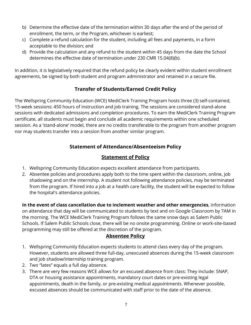- b) Determine the effective date of the termination within 30 days after the end of the period of enrollment, the term, or the Program, whichever is earliest;
- c) Complete a refund calculation for the student, including all fees and payments, in a form acceptable to the division; and
- d) Provide the calculation and any refund to the student within 45 days from the date the School determines the effective date of termination under 230 CMR 15.04(8)(b).

In addition, it is legislatively required that the refund policy be clearly evident within student enrollment agreements, be signed by both student and program administrator and retained in a secure file.

## **Transfer of Students/Earned Credit Policy**

The Wellspring Community Education (WCE) MediClerk Training Program hosts three (3) self-contained, 15-week sessions: 450 hours of instruction and job training. The sessions are considered stand-alone sessions with dedicated admissions and completion procedures. To earn the MediClerk Training Program certificate, all students must begin and conclude all academic requirements within one scheduled session. As a 'stand-alone' model, there are no credits transferable to the program from another program nor may students transfer into a session from another similar program.

## **Statement of Attendance/Absenteeism Policy**

## **Statement of Policy**

- <span id="page-6-0"></span>1. Wellspring Community Education expects excellent attendance from participants.
- 2. Absentee policies and procedures apply both to the time spent within the classroom, online, job shadowing and on the internship. A student not following attendance policies, may be terminated from the program. If hired into a job at a health care facility, the student will be expected to follow the hospital's attendance policies.

**In the event of class cancellation due to inclement weather and other emergencies**, information on attendance that day will be communicated to students by text and on Google Classroom by 7AM in the morning. The WCE MediClerk Training Program follows the same snow days as Salem Public Schools. If Salem Public Schools close, there will be no onsite programming. Online or work-site-based programming may still be offered at the discretion of the program.

## **Absentee Policy**

- 1. Wellspring Community Education expects students to attend class every day of the program. However, students are allowed three full-day, unexcused absences during the 15-week classroom and job shadow/internship training program.
- 2. Two "lates" equals a full day absence.
- 3. There are very few reasons WCE allows for an excused absence from class: They include: SNAP, DTA or housing assistance appointments, mandatory court dates or pre-existing legal appointments, death in the family, or pre-existing medical appointments. Whenever possible, excused absences should be communicated with staff prior to the date of the absence.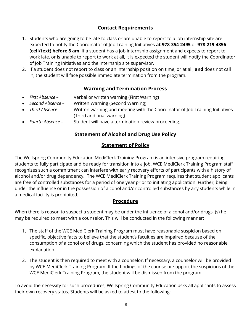## **Contact Requirements**

- 1. Students who are going to be late to class or are unable to report to a job internship site are expected to notify the Coordinator of Job Training Initiatives **at 978-354-2495** or **978-219-4856 (cell/text) before 8 am**. If a student has a job internship assignment and expects to report to work late, or is unable to report to work at all, it is expected the student will notify the Coordinator of Job Training Initiatives and the internship site supervisor.
- 2. If a student does not report to class or an internship position on time, or at all, **and** does not call in, the student will face possible immediate termination from the program.

## **Warning and Termination Process**

- *First Absence –* Verbal or written warning (First Warning)
- *Second Absence* Written Warning (Second Warning)
- *Third Absence –* Written warning and meeting with the Coordinator of Job Training Initiatives (Third and final warning)
- <span id="page-7-0"></span>• *Fourth Absence –* Student will have a termination review proceeding.

## **Statement of Alcohol and Drug Use Policy**

## **Statement of Policy**

The Wellspring Community Education MediClerk Training Program is an intensive program requiring students to fully participate and be ready for transition into a job. WCE MediClerk Training Program staff recognizes such a commitment can interfere with early recovery efforts of participants with a history of alcohol and/or drug dependency. The WCE MediClerk Training Program requires that student applicants are free of controlled substances for a period of one year prior to initiating application. Further, being under the influence or in the possession of alcohol and/or controlled substances by any students while in a medical facility is prohibited.

#### **Procedure**

When there is reason to suspect a student may be under the influence of alcohol and/or drugs, (s) he may be required to meet with a counselor. This will be conducted in the following manner:

- 1. The staff of the WCE MediClerk Training Program must have reasonable suspicion based on specific, objective facts to believe that the student's faculties are impaired because of the consumption of alcohol or of drugs, concerning which the student has provided no reasonable explanation.
- 2. The student is then required to meet with a counselor. If necessary, a counselor will be provided by WCE MediClerk Training Program. If the findings of the counselor support the suspicions of the WCE MediClerk Training Program, the student will be dismissed from the program.

To avoid the necessity for such procedures, Wellspring Community Education asks all applicants to assess their own recovery status. Students will be asked to attest to the following: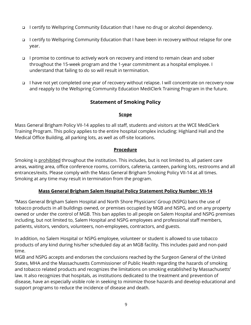- □ I certify to Wellspring Community Education that I have no drug or alcohol dependency.
- I certify to Wellspring Community Education that I have been in recovery without relapse for one year.
- I promise to continue to actively work on recovery and intend to remain clean and sober throughout the 15-week program and the 1-year commitment as a hospital employee. I understand that failing to do so will result in termination.
- <span id="page-8-0"></span>□ I have not yet completed one year of recovery without relapse. I will concentrate on recovery now and reapply to the Wellspring Community Education MediClerk Training Program in the future.

## **Statement of Smoking Policy**

#### **Scope**

Mass General Brigham Policy VII-14 applies to all staff, students and visitors at the WCE MediClerk Training Program. This policy applies to the entire hospital complex including: Highland Hall and the Medical Office Building, all parking lots, as well as off-site locations.

#### **Procedure**

Smoking is prohibited throughout the institution. This includes, but is not limited to, all patient care areas, waiting area, office conference rooms, corridors, cafeteria, canteen, parking lots, restrooms and all entrances/exits. Please comply with the Mass General Brigham Smoking Policy VII-14 at all times. Smoking at any time may result in termination from the program.

#### **Mass General Brigham Salem Hospital Policy Statement Policy Number: VII-14**

"Mass General Brigham Salem Hospital and North Shore Physicians' Group (NSPG) bans the use of tobacco products in all buildings owned, or premises occupied by MGB and NSPG, and on any property owned or under the control of MGB. This ban applies to all people on Salem Hospital and NSPG premises including, but not limited to, Salem Hospital and NSPG employees and professional staff members, patients, visitors, vendors, volunteers, non-employees, contractors, and guests.

In addition, no Salem Hospital or NSPG employee, volunteer or student is allowed to use tobacco products of any kind during his/her scheduled day at an MGB facility. This includes paid and non-paid time.

MGB and NSPG accepts and endorses the conclusions reached by the Surgeon General of the United States, MHA and the Massachusetts Commissioner of Public Health regarding the hazards of smoking and tobacco related products and recognizes the limitations on smoking established by Massachusetts' law. It also recognizes that hospitals, as institutions dedicated to the treatment and prevention of disease, have an especially visible role in seeking to minimize those hazards and develop educational and support programs to reduce the incidence of disease and death.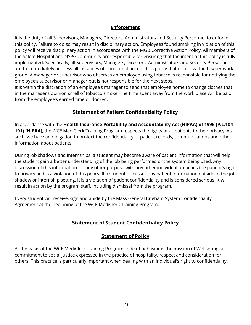#### **Enforcement**

It is the duty of all Supervisors, Managers, Directors, Administrators and Security Personnel to enforce this policy. Failure to do so may result in disciplinary action. Employees found smoking in violation of this policy will receive disciplinary action in accordance with the MGB Corrective Action Policy. All members of the Salem Hospital and NSPG community are responsible for ensuring that the intent of this policy is fully implemented. Specifically, all Supervisors, Managers, Directors, Administrators and Security Personnel are to immediately address all instances of non-compliance of this policy that occurs within his/her work group. A manager or supervisor who observes an employee using tobacco is responsible for notifying the employee's supervisor or manager but is not responsible for the next steps.

It is within the discretion of an employee's manager to send that employee home to change clothes that in the manager's opinion smell of tobacco smoke. The time spent away from the work place will be paid from the employee's earned time or docked.

## **Statement of Patient Confidentiality Policy**

<span id="page-9-0"></span>In accordance with the **Health Insurance Portability and Accountability Act (HIPAA) of 1996 (P.L.104- 191)** [**HIPAA**], the WCE MediClerk Training Program respects the rights of all patients to their privacy. As such, we have an obligation to protect the confidentiality of patient records, communications and other information about patients.

During job shadows and internships, a student may become aware of patient information that will help the student gain a better understanding of the job being performed or the system being used. Any discussion of this information for any other purpose with any other individual breaches the patient's right to privacy and is a violation of this policy. If a student discusses any patient information outside of the job shadow or internship setting, it is a violation of patient confidentiality and is considered serious. It will result in action by the program staff, including dismissal from the program.

Every student will receive, sign and abide by the Mass General Brigham System Confidentiality Agreement at the beginning of the WCE MediClerk Training Program.

## **Statement of Student Confidentiality Policy**

## <span id="page-9-1"></span>**Statement of Policy**

At the basis of the WCE MediClerk Training Program code of behavior is the mission of Wellspring; a commitment to social justice expressed in the practice of hospitality, respect and consideration for others. This practice is particularly important when dealing with an individual's right to confidentiality.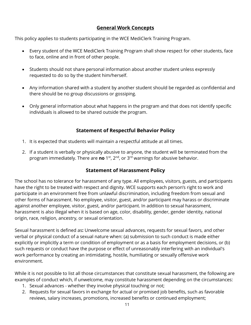## **General Work Concepts**

This policy applies to students participating in the WCE MediClerk Training Program.

- Every student of the WCE MediClerk Training Program shall show respect for other students, face to face, online and in front of other people.
- Students should not share personal information about another student unless expressly requested to do so by the student him/herself.
- Any information shared with a student by another student should be regarded as confidential and there should be no group discussions or gossiping.
- <span id="page-10-0"></span>• Only general information about what happens in the program and that does not identify specific individuals is allowed to be shared outside the program.

## **Statement of Respectful Behavior Policy**

- 1. It is expected that students will maintain a respectful attitude at all times.
- 2. If a student is verbally or physically abusive to anyone, the student will be terminated from the program immediately. There are **no** 1st, 2nd, or 3rd warnings for abusive behavior.

## **Statement of Harassment Policy**

<span id="page-10-1"></span>The school has no tolerance for harassment of any type. All employees, visitors, guests, and participants have the right to be treated with respect and dignity. WCE supports each person's right to work and participate in an environment free from unlawful discrimination, including freedom from sexual and other forms of harassment. No employee, visitor, guest, and/or participant may harass or discriminate against another employee, visitor, guest, and/or participant. In addition to sexual harassment, harassment is also illegal when it is based on age, color, disability, gender, gender identity, national origin, race, religion, ancestry, or sexual orientation.

Sexual harassment is defined as**:** Unwelcome sexual advances, requests for sexual favors, and other verbal or physical conduct of a sexual nature when: (a) submission to such conduct is made either explicitly or implicitly a term or condition of employment or as a basis for employment decisions, or (b) such requests or conduct have the purpose or effect of unreasonably interfering with an individual's work performance by creating an intimidating, hostile, humiliating or sexually offensive work environment.

While it is not possible to list all those circumstances that constitute sexual harassment, the following are examples of conduct which, if unwelcome, may constitute harassment depending on the circumstances:

- 1. Sexual advances whether they involve physical touching or not;
- 2. Requests for sexual favors in exchange for actual or promised job benefits, such as favorable reviews, salary increases, promotions, increased benefits or continued employment;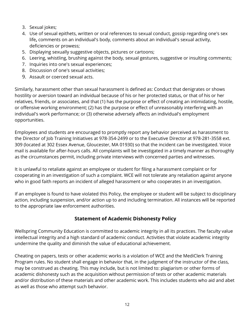- 3. Sexual jokes;
- 4. Use of sexual epithets, written or oral references to sexual conduct, gossip regarding one's sex life**,** comments on an individual's body, comments about an individual's sexual activity, deficiencies or prowess;
- 5. Displaying sexually suggestive objects, pictures or cartoons;
- 6. Leering, whistling, brushing against the body, sexual gestures, suggestive or insulting comments;
- 7. Inquiries into one's sexual experiences;
- 8. Discussion of one's sexual activities;
- 9. Assault or coerced sexual acts.

Similarly, harassment other than sexual harassment is defined as: Conduct that denigrates or shows hostility or aversion toward an individual because of his or her protected status, or that of his or her relatives, friends, or associates, and that (1) has the purpose or effect of creating an intimidating, hostile, or offensive working environment; (2) has the purpose or effect of unreasonably interfering with an individual's work performance; or (3) otherwise adversely affects an individual's employment opportunities.

Employees and students are encouraged to promptly report any behavior perceived as harassment to the Director of Job Training Initiatives at 978-354-2499 or to the Executive Director at 978-281-3558 ext. 309 (located at 302 Essex Avenue, Gloucester, MA 01930) so that the incident can be investigated. Voice mail is available for after-hours calls. All complaints will be investigated in a timely manner as thoroughly as the circumstances permit, including private interviews with concerned parties and witnesses.

It is unlawful to retaliate against an employee or student for filing a harassment complaint or for cooperating in an investigation of such a complaint. WCE will not tolerate any retaliation against anyone who in good faith reports an incident of alleged harassment or who cooperates in an investigation.

If an employee is found to have violated this Policy, the employee or student will be subject to disciplinary action, including suspension, and/or action up to and including termination. All instances will be reported to the appropriate law enforcement authorities.

## **Statement of Academic Dishonesty Policy**

Wellspring Community Education is committed to academic integrity in all its practices. The faculty value intellectual integrity and a high standard of academic conduct. Activities that violate academic integrity undermine the quality and diminish the value of educational achievement.

Cheating on papers, tests or other academic works is a violation of WCE and the MediClerk Training Program rules. No student shall engage in behavior that, in the judgment of the instructor of the class, may be construed as cheating. This may include, but is not limited to: plagiarism or other forms of academic dishonesty such as the acquisition without permission of tests or other academic materials and/or distribution of these materials and other academic work. This includes students who aid and abet as well as those who attempt such behavior.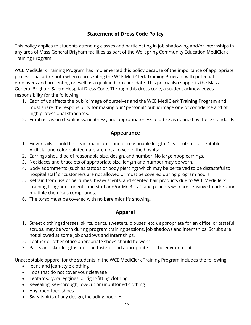## **Statement of Dress Code Policy**

<span id="page-12-0"></span>This policy applies to students attending classes and participating in job shadowing and/or internships in any area of Mass General Brigham facilities as part of the Wellspring Community Education MediClerk Training Program.

WCE MediClerk Training Program has implemented this policy because of the importance of appropriate professional attire both when representing the WCE MediClerk Training Program with potential employers and presenting oneself as a qualified job candidate. This policy also supports the Mass General Brigham Salem Hospital Dress Code. Through this dress code, a student acknowledges responsibility for the following:

- 1. Each of us affects the public image of ourselves and the WCE MediClerk Training Program and must share the responsibility for making our "personal" public image one of confidence and of high professional standards.
- 2. Emphasis is on cleanliness, neatness, and appropriateness of attire as defined by these standards.

## **Appearance**

- 1. Fingernails should be clean, manicured and of reasonable length. Clear polish is acceptable. Artificial and color painted nails are not allowed in the hospital.
- 2. Earrings should be of reasonable size, design, and number. No large hoop earrings.
- 3. Necklaces and bracelets of appropriate size, length and number may be worn.
- 4. Body adornments (such as tattoos or body piercing) which may be perceived to be distasteful to hospital staff or customers are not allowed or must be covered during program hours.
- 5. Refrain from use of perfumes, heavy scents, and scented hair products due to WCE MediClerk Training Program students and staff and/or MGB staff and patients who are sensitive to odors and multiple chemicals compounds.
- 6. The torso must be covered with no bare midriffs showing.

## **Apparel**

- 1. Street clothing (dresses, skirts, pants, sweaters, blouses, etc.), appropriate for an office, or tasteful scrubs, may be worn during program training sessions, job shadows and internships. Scrubs are not allowed at some job shadows and internships.
- 2. Leather or other office appropriate shoes should be worn.
- 3. Pants and skirt lengths must be tasteful and appropriate for the environment.

Unacceptable apparel for the students in the WCE MediClerk Training Program includes the following:

- Jeans and jean-style clothing
- Tops that do not cover your cleavage
- Leotards, lycra leggings, or tight-fitting clothing
- Revealing, see-through, low-cut or unbuttoned clothing
- Any open-toed shoes
- Sweatshirts of any design, including hoodies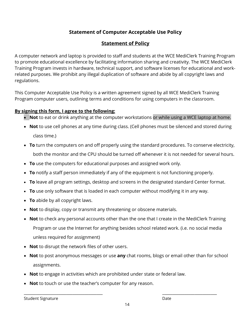## **Statement of Computer Acceptable Use Policy**

## **Statement of Policy**

<span id="page-13-0"></span>A computer network and laptop is provided to staff and students at the WCE MediClerk Training Program to promote educational excellence by facilitating information sharing and creativity. The WCE MediClerk Training Program invests in hardware, technical support, and software licenses for educational and workrelated purposes. We prohibit any illegal duplication of software and abide by all copyright laws and regulations.

This Computer Acceptable Use Policy is a written agreement signed by all WCE MediClerk Training Program computer users, outlining terms and conditions for using computers in the classroom.

#### **By signing this form, I agree to the following:**

- **Not** to eat or drink anything at the computer workstations or while using a WCE laptop at home.
- **Not** to use cell phones at any time during class. (Cell phones must be silenced and stored during class time.)
- **To** turn the computers on and off properly using the standard procedures. To conserve electricity, both the monitor and the CPU should be turned off whenever it is not needed for several hours.
- **To** use the computers for educational purposes and assigned work only.
- **To** notify a staff person immediately if any of the equipment is not functioning properly.
- **To** leave all program settings, desktop and screens in the designated standard Center format.
- **To** use only software that is loaded in each computer without modifying it in any way.
- **To** abide by all copyright laws.
- **Not** to display, copy or transmit any threatening or obscene materials.
- **Not** to check any personal accounts other than the one that I create in the MediClerk Training Program or use the Internet for anything besides school related work. (i.e. no social media unless required for assignment)
- **Not** to disrupt the network files of other users.
- **Not** to post anonymous messages or use **any** chat rooms, blogs or email other than for school assignments.
- **Not** to engage in activities which are prohibited under state or federal law.
- **Not** to touch or use the teacher's computer for any reason.

Student Signature Date Date Date Date

\_\_\_\_\_\_\_\_\_\_\_\_\_\_\_\_\_\_\_\_\_\_\_\_\_\_\_\_\_\_\_\_\_\_\_\_\_\_\_ \_\_\_\_\_\_\_\_\_\_\_\_\_\_\_\_\_\_\_\_\_\_\_\_\_\_\_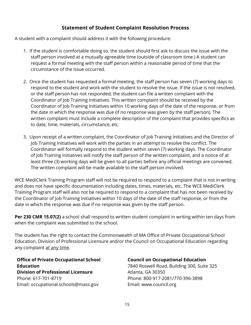## **Statement of Student Complaint Resolution Process**

<span id="page-14-0"></span>A student with a complaint should address it with the following procedure:

- 1. If the student is comfortable doing so, the student should first ask to discuss the issue with the staff person involved at a mutually agreeable time (outside of classroom time.) A student can request a formal meeting with the staff person within a reasonable period of time that the circumstance of the issue occurred.
- 2. Once the student has requested a formal meeting, the staff person has seven (7) working days to respond to the student and work with the student to resolve the issue. If the issue is not resolved, or the staff person has not responded, the student can file a written complaint with the Coordinator of Job Training Initiatives. This written complaint should be received by the Coordinator of Job Training Initiatives within 10 working days of the date of the response, or from the date in which the response was due (if no response was given by the staff person). The written complaint must include a complete description of the complaint that provides specifics as to date, time, materials, circumstance, etc.
- 3. Upon receipt of a written complaint, the Coordinator of Job Training Initiatives and the Director of Job Training Initiatives will work with the parties in an attempt to resolve the conflict. The Coordinator will formally respond to the student within seven (7) working days. The Coordinator of Job Training Initiatives will notify the staff person of the written complaint, and a notice of at least three (3) working days will be given to all parties before any official meetings are convened. The written complaint will be made available to the staff person involved.

WCE MediClerk Training Program staff will not be required to respond to a complaint that is not in writing and does not have specific documentation including dates, times, materials, etc. The WCE MediClerk Training Program staff will also not be required to respond to a complaint that has not been received by the Coordinator of Job Training Initiatives within 10 days of the date of the staff response, or from the date in which the response was due if no response was given by the staff person.

**Per 230 CMR 15.07(2)** a school shall respond to written student complaint in writing within ten days from when the complaint was submitted to the school.

The student has the right to contact the Commonwealth of MA Office of Private Occupational School Education, Division of Professional Licensure and/or the Council on Occupational Education regarding any complaint at any time.

**Office of Private Occupational School Education Division of Professional Licensure** Phone: 617-701-8719 Email: occupational.schools@mass.gov

#### **Council on Occupational Education**

7840 Roswell Road, Building 300, Suite 325 Atlanta, GA 30350 Phone: 800-917-2081/770-396-3898 Email: www.council.org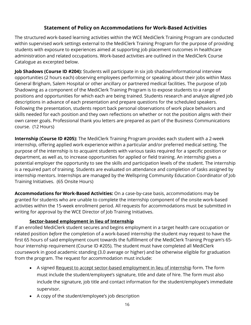## **Statement of Policy on Accommodations for Work-Based Activities**

The structured work-based learning activities within the WCE MediClerk Training Program are conducted within supervised work settings external to the MediClerk Training Program for the purpose of providing students with exposure to experiences aimed at supporting job placement outcomes in healthcare administration and related occupations. Work-based activities are outlined in the MediClerk Course Catalogue as excerpted below.

**Job Shadows (Course ID #204):** Students will participate in six job shadow/informational interview opportunities (2 hours each) observing employees performing or speaking about their jobs within Mass General Brigham, Salem Hospital or other ancillary or partnered medical facilities. The purpose of Job Shadowing as a component of the MediClerk Training Program is to expose students to a range of positions and opportunities for which each are being trained. Students research and analyze aligned job descriptions in advance of each presentation and prepare questions for the scheduled speakers. Following the presentation, students report back personal observations of work place behaviors and skills needed for each position and they own reflections on whether or not the position aligns with their own career goals. Professional thank you letters are prepared as part of the Business Communications course. (12 Hours)

**Internship (Course ID #205):** The MediClerk Training Program provides each student with a 2-week internship, offering applied work experience within a particular and/or preferred medical setting. The purpose of the internship is to acquaint students with various tasks required for a specific position or department, as well as, to increase opportunities for applied or field training. An internship gives a potential employer the opportunity to see the skills and participation levels of the student. The internship is a required part of training. Students are evaluated on attendance and completion of tasks assigned by internship mentors. Internships are managed by the Wellspring Community Education Coordinator of Job Training Initiatives. (65 Onsite Hours)

**Accommodations for Work-Based Activities:** On a case-by-case basis, accommodations may be granted for students who are unable to complete the internship component of the onsite work-based activities within the 15-week enrollment period. All requests for accommodations must be submitted in writing for approval by the WCE Director of Job Training Initiatives.

## **Sector-based employment in lieu of Internship**

If an enrolled MediClerk student secures and begins employment in a target health care occupation or related position *before* the completion of a work-based internship the student may request to have the first 65 hours of said employment count towards the fulfillment of the MediClerk Training Program's 65 hour internship requirement (Course ID #205). The student must have completed all MediClerk coursework in good academic standing (3.0 average or higher) and be otherwise eligible for graduation from the program. The request for accommodation must include:

- A signed Request to accept sector-based employment in lieu of internship form. The form must include the student/employee's signature, title and date of hire. The form must also include the signature, job title and contact information for the student/employee's immediate supervisor.
- A copy of the student/employee's job description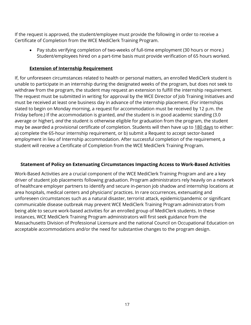If the request is approved, the student/employee must provide the following in order to receive a Certificate of Completion from the WCE MediClerk Training Program.

• Pay stubs verifying completion of two-weeks of full-time employment (30 hours or more.) Student/employees hired on a part-time basis must provide verification of 65 hours worked.

#### **Extension of Internship Requirement**

If, for unforeseen circumstances related to health or personal matters, an enrolled MediClerk student is unable to participate in an internship during the designated weeks of the program, but does not seek to withdraw from the program, the student may request an extension to fulfill the internship requirement. The request must be submitted in writing for approval by the WCE Director of Job Training Initiatives and must be received at least one business day in advance of the internship placement. (For internships slated to begin on Monday morning, a request for accommodation must be received by 12 p.m. the Friday before.) If the accommodation is granted, *and* the student is in good academic standing (3.0 average or higher), *and* the student is otherwise eligible for graduation from the program, the student may be awarded a provisional certificate of completion. Students will then have up to 180 days to either: a) complete the 65-hour internship requirement, or b) submit a Request to accept sector-based employment in lieu of Internship accommodation. After successful completion of the requirement, a student will receive a Certificate of Completion from the WCE MediClerk Training Program.

#### **Statement of Policy on Extenuating Circumstances Impacting Access to Work-Based Activities**

Work-Based Activities are a crucial component of the WCE MediClerk Training Program and are a key driver of student job placements following graduation. Program administrators rely heavily on a network of healthcare employer partners to identify and secure in-person job shadow and internship locations at area hospitals, medical centers and physicians' practices. In rare occurrences, extenuating and unforeseen circumstances such as a natural disaster, terrorist attack, epidemic/pandemic or significant communicable disease outbreak may prevent WCE MediClerk Training Program administrators from being able to secure work-based activities for an enrolled group of MediClerk students. In these instances, WCE MediClerk Training Program administrators will first seek guidance from the Massachusetts Division of Professional Licensure and the national Council on Occupational Education on acceptable accommodations and/or the need for substantive changes to the program design.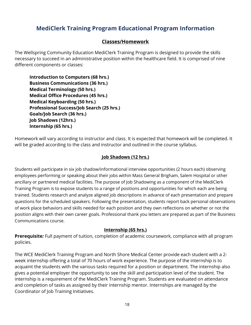# **MediClerk Training Program Educational Program Information**

## **Classes/Homework**

<span id="page-17-0"></span>The Wellspring Community Education MediClerk Training Program is designed to provide the skills necessary to succeed in an administrative position within the healthcare field. It is comprised of nine different components or classes:

**Introduction to Computers (68 hrs.) Business Communications (36 hrs.) Medical Terminology (50 hrs.) Medical Office Procedures (45 hrs.) Medical Keyboarding (50 hrs.) Professional Success/Job Search (25 hrs.) Goals/Job Search (36 hrs.) Job Shadows (12hrs.) Internship (65 hrs.)**

Homework will vary according to instructor and class. It is expected that homework will be completed. It will be graded according to the class and instructor and outlined in the course syllabus.

#### **Job Shadows (12 hrs.)**

Students will participate in six job shadow/informational interview opportunities (2 hours each) observing employees performing or speaking about their jobs within Mass General Brigham, Salem Hospital or other ancillary or partnered medical facilities. The purpose of Job Shadowing as a component of the MediClerk Training Program is to expose students to a range of positions and opportunities for which each are being trained. Students research and analyze aligned job descriptions in advance of each presentation and prepare questions for the scheduled speakers. Following the presentation, students report back personal observations of work place behaviors and skills needed for each position and they own reflections on whether or not the position aligns with their own career goals. Professional thank you letters are prepared as part of the Business Communications course.

#### **Internship (65 hrs.)**

**Prerequisite***:* Full payment of tuition, completion of academic coursework, compliance with all program policies.

The WCE MediClerk Training Program and North Shore Medical Center provide each student with a 2 week internship offering a total of 70 hours of work experience. The purpose of the internship is to acquaint the students with the various tasks required for a position or department. The internship also gives a potential employer the opportunity to see the skill and participation level of the student. The internship is a requirement of the MediClerk Training Program. Students are evaluated on attendance and completion of tasks as assigned by their internship mentor. Internships are managed by the Coordinator of Job Training Initiatives.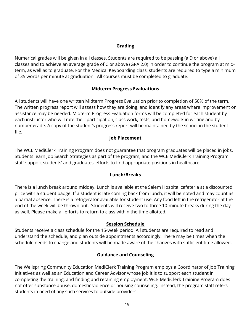#### **Grading**

<span id="page-18-0"></span>Numerical grades will be given in all classes. Students are required to be passing (a D or above) all classes and to achieve an average grade of C or above (GPA 2.0) in order to continue the program at midterm, as well as to graduate. For the Medical Keyboarding class, students are required to type a minimum of 35 words per minute at graduation. All courses must be completed to graduate.

#### **Midterm Progress Evaluations**

<span id="page-18-1"></span>All students will have one written Midterm Progress Evaluation prior to completion of 50% of the term. The written progress report will assess how they are doing, and identify any areas where improvement or assistance may be needed. Midterm Progress Evaluation forms will be completed for each student by each instructor who will rate their participation, class work, tests, and homework in writing and by number grade. A copy of the student's progress report will be maintained by the school in the student file.

#### **Job Placement**

<span id="page-18-2"></span>The WCE MediClerk Training Program does not guarantee that program graduates will be placed in jobs. Students learn Job Search Strategies as part of the program, and the WCE MediClerk Training Program staff support students' and graduates' efforts to find appropriate positions in healthcare.

#### **Lunch/Breaks**

<span id="page-18-3"></span>There is a lunch break around midday. Lunch is available at the Salem Hospital cafeteria at a discounted price with a student badge. If a student is late coming back from lunch, it will be noted and may count as a partial absence. There is a refrigerator available for student use. Any food left in the refrigerator at the end of the week will be thrown out. Students will receive two to three 10-minute breaks during the day as well. Please make all efforts to return to class within the time allotted.

#### **Session Schedule**

<span id="page-18-5"></span><span id="page-18-4"></span>Students receive a class schedule for the 15-week period. All students are required to read and understand the schedule, and plan outside appointments accordingly. There may be times when the schedule needs to change and students will be made aware of the changes with sufficient time allowed.

#### **Guidance and Counseling**

The Wellspring Community Education MediClerk Training Program employs a Coordinator of Job Training Initiatives as well as an Education and Career Advisor whose job it is to support each student in completing the training, and finding and retaining employment. WCE MediClerk Training Program does not offer substance abuse, domestic violence or housing counseling. Instead, the program staff refers students in need of any such services to outside providers.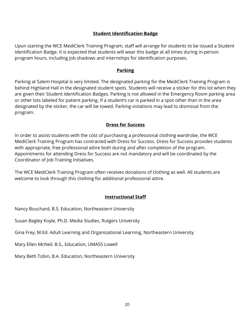#### **Student Identification Badge**

<span id="page-19-0"></span>Upon starting the WCE MediClerk Training Program, staff will arrange for students to be issued a Student Identification Badge. It is expected that students will wear this badge at all times during in-person program hours, including job shadows and internships for identification purposes.

#### **Parking**

<span id="page-19-1"></span>Parking at Salem Hospital is very limited. The designated parking for the MediClerk Training Program is behind Highland Hall in the designated student spots. Students will receive a sticker for this lot when they are given their Student Identification Badges. Parking is not allowed in the Emergency Room parking area or other lots labeled for patient parking. If a student's car is parked in a spot other than in the area designated by the sticker, the car will be towed. Parking violations may lead to dismissal from the program.

#### **Dress for Success**

<span id="page-19-2"></span>In order to assist students with the cost of purchasing a professional clothing wardrobe, the WCE MediClerk Training Program has contracted with Dress for Success. Dress for Success provides students with appropriate, free professional attire both during and after completion of the program. Appointments for attending Dress for Success are not mandatory and will be coordinated by the Coordinator of Job Training Initiatives.

The WCE MediClerk Training Program often receives donations of clothing as well. All students are welcome to look through this clothing for additional professional attire.

#### **Instructional Staff**

Nancy Bouchard, B.S. Education, Northeastern University

Susan Bagley Koyle, Ph.D. Media Studies, Rutgers University

Gina Frey, M.Ed. Adult Learning and Organizational Learning, Northeastern University

Mary Ellen McNeil, B.S., Education, UMASS Lowell

<span id="page-19-3"></span>Mary Beth Tobin, B.A. Education, Northeastern University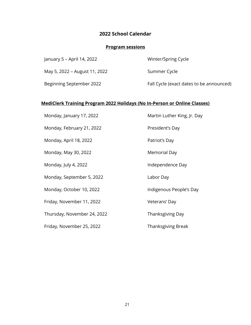## **2022 School Calendar**

## **Program sessions**

| January 5 – April 14, 2022    | Winter/Spring Cycle                      |
|-------------------------------|------------------------------------------|
| May 5, 2022 – August 11, 2022 | Summer Cycle                             |
| Beginning September 2022      | Fall Cycle (exact dates to be announced) |

## **MediClerk Training Program 2022 Holidays (No In-Person or Online Classes)**

| Monday, January 17, 2022    | Martin Luther King, Jr. Day |
|-----------------------------|-----------------------------|
| Monday, February 21, 2022   | President's Day             |
| Monday, April 18, 2022      | Patriot's Day               |
| Monday, May 30, 2022        | <b>Memorial Day</b>         |
| Monday, July 4, 2022        | Independence Day            |
| Monday, September 5, 2022   | Labor Day                   |
| Monday, October 10, 2022    | Indigenous People's Day     |
| Friday, November 11, 2022   | Veterans' Day               |
| Thursday, November 24, 2022 | Thanksgiving Day            |
| Friday, November 25, 2022   | Thanksgiving Break          |